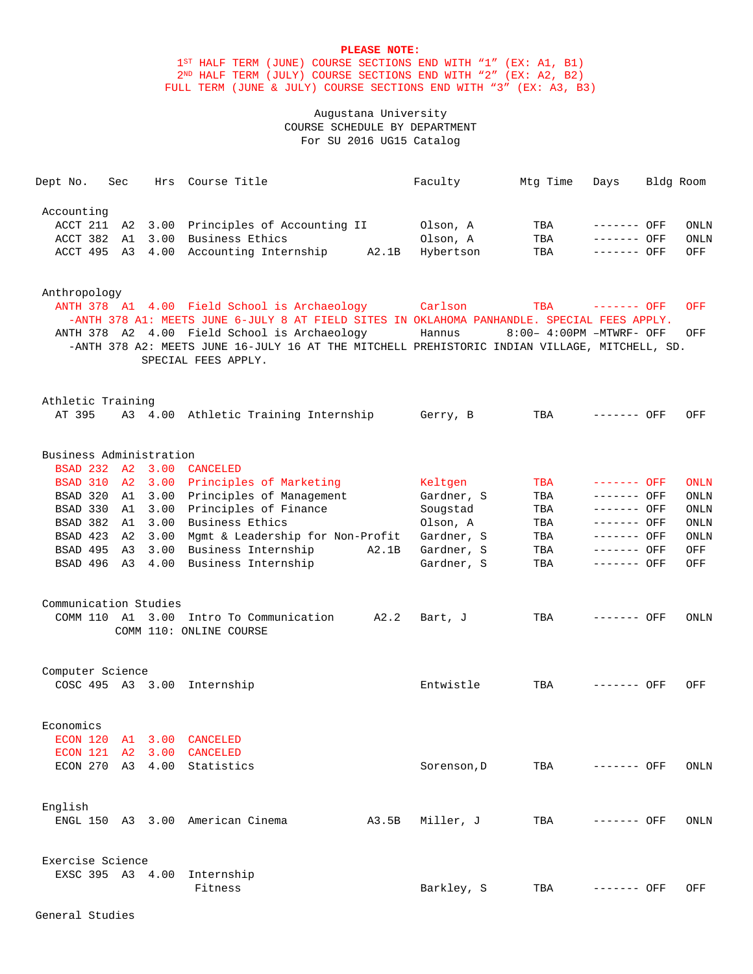1ST HALF TERM (JUNE) COURSE SECTIONS END WITH "1" (EX: A1, B1) 2ND HALF TERM (JULY) COURSE SECTIONS END WITH "2" (EX: A2, B2) FULL TERM (JUNE & JULY) COURSE SECTIONS END WITH "3" (EX: A3, B3)

# Augustana University COURSE SCHEDULE BY DEPARTMENT For SU 2016 UG15 Catalog

| Dept No.                                                                                                                         | Sec      |         | Hrs Course Title                                                                                                                                                                                                                                                                                                            | Faculty                                                                                 | Mtg Time                                      | Days                                                                                                   | Bldg Room |                                                                                |
|----------------------------------------------------------------------------------------------------------------------------------|----------|---------|-----------------------------------------------------------------------------------------------------------------------------------------------------------------------------------------------------------------------------------------------------------------------------------------------------------------------------|-----------------------------------------------------------------------------------------|-----------------------------------------------|--------------------------------------------------------------------------------------------------------|-----------|--------------------------------------------------------------------------------|
| Accounting<br>ACCT 211 A2<br>ACCT 382                                                                                            | A1       |         | 3.00 Principles of Accounting II<br>3.00 Business Ethics<br>ACCT 495 A3 4.00 Accounting Internship A2.1B                                                                                                                                                                                                                    | Olson, A<br>Olson, A<br>Hybertson                                                       | TBA<br>TBA<br>TBA                             | ------- OFF<br>------- OFF<br>------- OFF                                                              |           | ONLN<br><b>ONLN</b><br>OFF                                                     |
| Anthropology                                                                                                                     |          |         | ANTH 378 Al 4.00 Field School is Archaeology Carlson<br>-ANTH 378 A1: MEETS JUNE 6-JULY 8 AT FIELD SITES IN OKLAHOMA PANHANDLE. SPECIAL FEES APPLY.<br>ANTH 378 A2 4.00 Field School is Archaeology<br>-ANTH 378 A2: MEETS JUNE 16-JULY 16 AT THE MITCHELL PREHISTORIC INDIAN VILLAGE, MITCHELL, SD.<br>SPECIAL FEES APPLY. | Hannus                                                                                  | TBA<br>8:00- 4:00PM -MTWRF- OFF               | ------- OFF                                                                                            |           | OFF<br>OFF                                                                     |
| Athletic Training<br>AT 395                                                                                                      |          |         | A3 4.00 Athletic Training Internship                                                                                                                                                                                                                                                                                        | Gerry, B                                                                                | TBA                                           | ------- OFF                                                                                            |           | OFF                                                                            |
| Business Administration<br>BSAD 232 A2 3.00 CANCELED<br>BSAD 320<br>BSAD 330 A1<br>BSAD 423<br>BSAD 495<br>Communication Studies | A1<br>A3 | A2 3.00 | BSAD 310 A2 3.00 Principles of Marketing<br>3.00 Principles of Management<br>3.00 Principles of Finance<br>BSAD 382 A1 3.00 Business Ethics<br>Mgmt & Leadership for Non-Profit<br>3.00 Business Internship<br>A2.1B<br>BSAD 496 A3 4.00 Business Internship                                                                | Keltgen<br>Gardner, S<br>Sougstad<br>Olson, A<br>Gardner, S<br>Gardner, S<br>Gardner, S | TBA<br>TBA<br>TBA<br>TBA<br>TBA<br>TBA<br>TBA | ------- OFF<br>------- OFF<br>------- OFF<br>$------$ OFF<br>------- OFF<br>------- OFF<br>------- OFF |           | <b>ONLN</b><br><b>ONLN</b><br>ONLN<br><b>ONLN</b><br><b>ONLN</b><br>OFF<br>OFF |
|                                                                                                                                  |          |         | COMM 110 A1 3.00 Intro To Communication A2.2<br>COMM 110: ONLINE COURSE                                                                                                                                                                                                                                                     | Bart, J                                                                                 | TBA                                           | ------- OFF                                                                                            |           | ONLN                                                                           |
| Computer Science                                                                                                                 |          |         | COSC 495 A3 3.00 Internship                                                                                                                                                                                                                                                                                                 | Entwistle                                                                               | TBA                                           | ------- OFF                                                                                            |           | OFF                                                                            |
| Economics<br>ECON 120 A1 3.00 CANCELED<br>ECON 121 A2 3.00 CANCELED                                                              |          |         | ECON 270 A3 4.00 Statistics                                                                                                                                                                                                                                                                                                 | Sorenson, D                                                                             | TBA                                           | ------- OFF                                                                                            |           | ONLN                                                                           |
| English                                                                                                                          |          |         | ENGL 150 A3 3.00 American Cinema<br>A3.5B                                                                                                                                                                                                                                                                                   | Miller, J                                                                               | TBA                                           | ------- OFF                                                                                            |           | ONLN                                                                           |
| Exercise Science                                                                                                                 |          |         | EXSC 395 A3 4.00 Internship<br>Fitness                                                                                                                                                                                                                                                                                      | Barkley, S                                                                              | TBA                                           | ------- OFF                                                                                            |           | OFF                                                                            |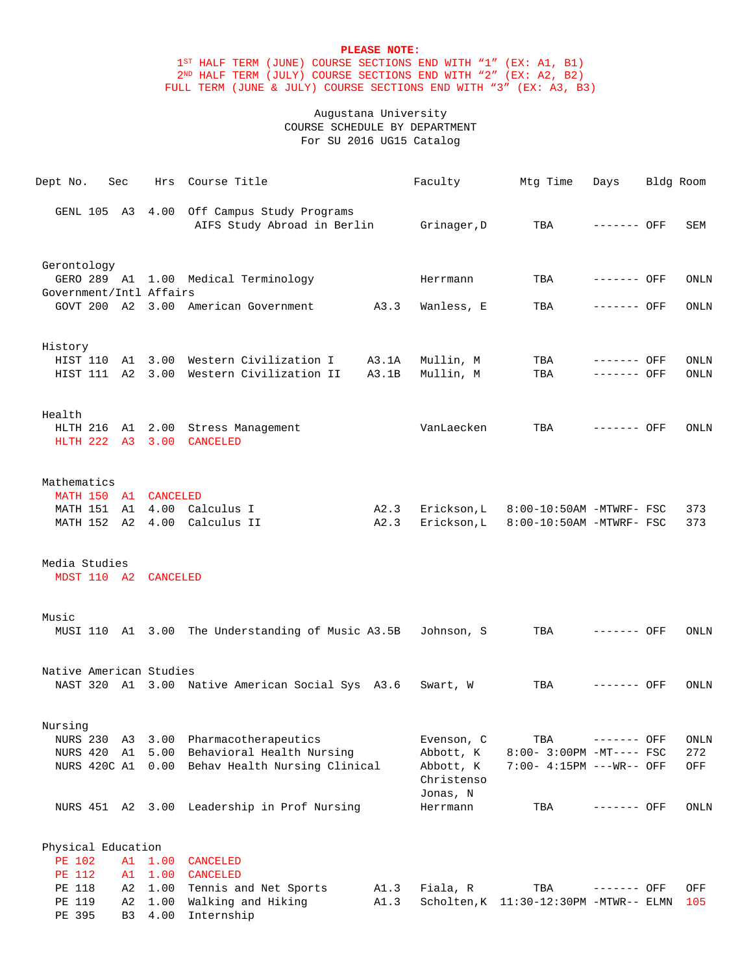1ST HALF TERM (JUNE) COURSE SECTIONS END WITH "1" (EX: A1, B1) 2ND HALF TERM (JULY) COURSE SECTIONS END WITH "2" (EX: A2, B2) FULL TERM (JUNE & JULY) COURSE SECTIONS END WITH "3" (EX: A3, B3)

# Augustana University COURSE SCHEDULE BY DEPARTMENT For SU 2016 UG15 Catalog

| Dept No.                | Sec                  |                      | Hrs Course Title                                                          |       | Faculty                             | Mtg Time                               | Days        | Bldg Room |             |
|-------------------------|----------------------|----------------------|---------------------------------------------------------------------------|-------|-------------------------------------|----------------------------------------|-------------|-----------|-------------|
|                         |                      |                      | GENL 105 A3 4.00 Off Campus Study Programs<br>AIFS Study Abroad in Berlin |       | Grinager,D                          | TBA                                    | ------- OFF |           | SEM         |
| Gerontology             |                      |                      |                                                                           |       |                                     |                                        |             |           |             |
| Government/Intl Affairs |                      |                      | GERO 289 A1 1.00 Medical Terminology                                      |       | Herrmann                            | TBA                                    | ------- OFF |           | ONLN        |
|                         |                      |                      | GOVT 200 A2 3.00 American Government A3.3                                 |       | Wanless, E                          | TBA                                    | ------- OFF |           | ONLN        |
| History                 |                      |                      |                                                                           |       |                                     |                                        |             |           |             |
|                         |                      |                      | HIST 110 A1 3.00 Western Civilization I A3.1A                             |       | Mullin, M                           | TBA                                    | ------- OFF |           | ONLN        |
|                         |                      |                      | HIST 111 A2 3.00 Western Civilization II                                  | A3.1B | Mullin, M                           | TBA                                    | ------- OFF |           | <b>ONLN</b> |
| Health                  |                      |                      |                                                                           |       |                                     |                                        |             |           |             |
|                         |                      |                      | HLTH 216 A1 2.00 Stress Management<br>HLTH 222 A3 3.00 CANCELED           |       | VanLaecken                          | TBA                                    | ------- OFF |           | ONLN        |
| Mathematics             |                      |                      |                                                                           |       |                                     |                                        |             |           |             |
|                         |                      | MATH 150 A1 CANCELED |                                                                           |       |                                     |                                        |             |           |             |
|                         |                      |                      | MATH 151 A1 4.00 Calculus I                                               | A2.3  | Erickson,L                          | 8:00-10:50AM -MTWRF- FSC               |             |           | 373         |
|                         |                      |                      | MATH 152 A2 4.00 Calculus II                                              | A2.3  | Erickson, L                         | 8:00-10:50AM -MTWRF- FSC               |             |           | 373         |
| Media Studies           |                      |                      |                                                                           |       |                                     |                                        |             |           |             |
|                         |                      | MDST 110 A2 CANCELED |                                                                           |       |                                     |                                        |             |           |             |
| Music                   |                      |                      | MUSI 110 A1 3.00 The Understanding of Music A3.5B Johnson, S              |       |                                     | TBA                                    | ------- OFF |           | ONLN        |
|                         |                      |                      |                                                                           |       |                                     |                                        |             |           |             |
| Native American Studies |                      |                      |                                                                           |       |                                     |                                        |             |           |             |
|                         |                      |                      | NAST 320 A1 3.00 Native American Social Sys A3.6                          |       | Swart, W                            | TBA                                    | ------- OFF |           | ONLN        |
| Nursing                 |                      |                      |                                                                           |       |                                     |                                        |             |           |             |
| NURS 230 A3             |                      |                      | 3.00 Pharmacotherapeutics                                                 |       | Evenson, C                          | TBA                                    | ------- OFF |           | ONLN        |
| NURS 420 A1             |                      |                      | 5.00 Behavioral Health Nursing                                            |       | Abbott, K                           | 8:00- 3:00PM -MT---- FSC               |             |           | 272         |
| NURS 420C A1            |                      |                      | 0.00 Behav Health Nursing Clinical                                        |       | Abbott, K<br>Christenso<br>Jonas, N | 7:00- 4:15PM ---WR-- OFF               |             |           | OFF         |
|                         |                      |                      | NURS 451 A2 3.00 Leadership in Prof Nursing                               |       | Herrmann                            | TBA                                    | ------- OFF |           | ONLN        |
| Physical Education      |                      |                      |                                                                           |       |                                     |                                        |             |           |             |
| PE 102                  | A1                   | 1.00                 | CANCELED                                                                  |       |                                     |                                        |             |           |             |
| PE 112                  | A1                   | 1.00                 | CANCELED                                                                  |       |                                     |                                        |             |           |             |
| PE 118                  | A2                   | 1.00                 | Tennis and Net Sports                                                     | A1.3  | Fiala, R                            | TBA                                    | ------- OFF |           | OFF         |
| PE 119<br>PE 395        | A2<br>B <sub>3</sub> | 1.00<br>4.00         | Walking and Hiking<br>Internship                                          | A1.3  |                                     | Scholten, K 11:30-12:30PM -MTWR-- ELMN |             |           | 105         |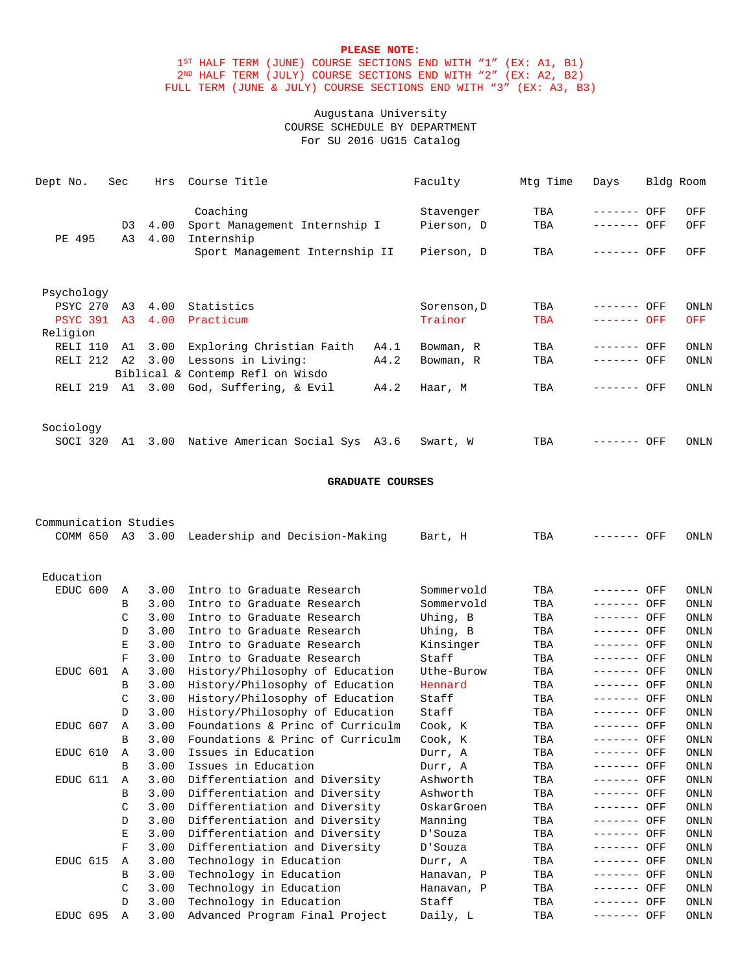1ST HALF TERM (JUNE) COURSE SECTIONS END WITH "1" (EX: A1, B1) 2ND HALF TERM (JULY) COURSE SECTIONS END WITH "2" (EX: A2, B2) FULL TERM (JUNE & JULY) COURSE SECTIONS END WITH "3" (EX: A3, B3)

# Augustana University COURSE SCHEDULE BY DEPARTMENT For SU 2016 UG15 Catalog

| Dept No.            | <b>Sec</b>     | Hrs  | Course Title                     |      | Faculty     | Mtg Time   | Days        | Bldg Room |             |
|---------------------|----------------|------|----------------------------------|------|-------------|------------|-------------|-----------|-------------|
|                     |                |      | Coaching                         |      | Stavenger   | TBA        | --------    | OFF       | OFF         |
|                     | D <sub>3</sub> | 4.00 | Sport Management Internship I    |      | Pierson, D  | TBA        | ------- OFF |           | OFF         |
| PE 495              | A3             | 4.00 | Internship                       |      |             |            |             |           |             |
|                     |                |      | Sport Management Internship II   |      | Pierson, D  | TBA        | ------- OFF |           | OFF         |
| Psychology          |                |      |                                  |      |             |            |             |           |             |
| PSYC 270            | A3             | 4.00 | Statistics                       |      | Sorenson, D | TBA        | --------    | OFF       | <b>ONLN</b> |
| <b>PSYC 391</b>     | A3             | 4.00 | Practicum                        |      | Trainor     | <b>TBA</b> | ------- OFF |           | <b>OFF</b>  |
| Religion            |                |      |                                  |      |             |            |             |           |             |
| RELI 110            | A1             | 3.00 | Exploring Christian Faith        | A4.1 | Bowman, R   | TBA        |             | OFF       | <b>ONLN</b> |
| RELI <sub>212</sub> | A2             | 3.00 | Lessons in Living:               | A4.2 | Bowman, R   | TBA        | ------- OFF |           | <b>ONLN</b> |
|                     |                |      | Biblical & Contemp Refl on Wisdo |      |             |            |             |           |             |
| RELI <sub>219</sub> | A1             | 3.00 | God, Suffering, & Evil           | A4.2 | Haar, M     | TBA        |             | OFF       | ONLN        |
| Sociology           |                |      |                                  |      |             |            |             |           |             |
| SOCI 320            | A1             | 3.00 | Native American Social Sys A3.6  |      | Swart, W    | TBA        |             | OFF       | ONLN        |

### **GRADUATE COURSES**

| Communication Studies |               |         |                                  |            |     |                 |             |
|-----------------------|---------------|---------|----------------------------------|------------|-----|-----------------|-------------|
| COMM 650              |               | A3 3.00 | Leadership and Decision-Making   | Bart, H    | TBA | OFF<br>-------- | <b>ONLN</b> |
|                       |               |         |                                  |            |     |                 |             |
|                       |               |         |                                  |            |     |                 |             |
| Education             |               |         |                                  |            |     |                 |             |
| EDUC 600              | $\mathbb{A}$  | 3.00    | Intro to Graduate Research       | Sommervold | TBA | ------- OFF     | ONLN        |
|                       | B             | 3.00    | Intro to Graduate Research       | Sommervold | TBA | ------- OFF     | ONLN        |
|                       | C             | 3.00    | Intro to Graduate Research       | Uhing, B   | TBA | ------- OFF     | ONLN        |
|                       | D             | 3.00    | Intro to Graduate Research       | Uhing, B   | TBA | ------- OFF     | <b>ONLN</b> |
|                       | Е             | 3.00    | Intro to Graduate Research       | Kinsinger  | TBA | ------- OFF     | ONLN        |
|                       | F             | 3.00    | Intro to Graduate Research       | Staff      | TBA | $------$ OFF    | ONLN        |
| EDUC 601              | A             | 3.00    | History/Philosophy of Education  | Uthe-Burow | TBA | $------$ OFF    | ONLN        |
|                       | B             | 3.00    | History/Philosophy of Education  | Hennard    | TBA | $------$ OFF    | ONLN        |
|                       | C             | 3.00    | History/Philosophy of Education  | Staff      | TBA | $------$ OFF    | ONLN        |
|                       | <sup>D</sup>  | 3.00    | History/Philosophy of Education  | Staff      | TBA | ------- OFF     | ONLN        |
| EDUC 607              | $\mathbb{A}$  | 3.00    | Foundations & Princ of Curriculm | Cook, K    | TBA | $------$ OFF    | ONLN        |
|                       | B             | 3.00    | Foundations & Princ of Curriculm | Cook, K    | TBA | ------- OFF     | ONLN        |
| EDUC 610              | A             | 3.00    | Issues in Education              | Durr, A    | TBA | $------$ OFF    | ONLN        |
|                       | <sub>R</sub>  | 3.00    | Issues in Education              | Durr, A    | TBA | $------$ OFF    | <b>ONLN</b> |
| EDUC 611              | $\mathbb{A}$  | 3.00    | Differentiation and Diversity    | Ashworth   | TBA | ------- OFF     | ONLN        |
|                       | B             | 3.00    | Differentiation and Diversity    | Ashworth   | TBA | ------- OFF     | ONLN        |
|                       | C             | 3.00    | Differentiation and Diversity    | OskarGroen | TBA | ------- OFF     | ONLN        |
|                       | D             | 3.00    | Differentiation and Diversity    | Manning    | TBA | ------- OFF     | <b>ONLN</b> |
|                       | E             | 3.00    | Differentiation and Diversity    | D'Souza    | TBA | ------- OFF     | ONLN        |
|                       | F             | 3.00    | Differentiation and Diversity    | D'Souza    | TBA | ------- OFF     | ONLN        |
| EDUC 615              | Α             | 3.00    | Technology in Education          | Durr, A    | TBA | ------- OFF     | ONLN        |
|                       | В             | 3.00    | Technology in Education          | Hanavan, P | TBA | $------$ OFF    | <b>ONLN</b> |
|                       | C             | 3.00    | Technology in Education          | Hanavan, P | TBA | ------- OFF     | ONLN        |
|                       | $\mathcal{D}$ | 3.00    | Technology in Education          | Staff      | TBA | ------- OFF     | ONLN        |
| EDUC 695              | $\mathbb{A}$  | 3.00    | Advanced Program Final Project   | Daily, L   | TBA | ------- OFF     | ONLN        |
|                       |               |         |                                  |            |     |                 |             |